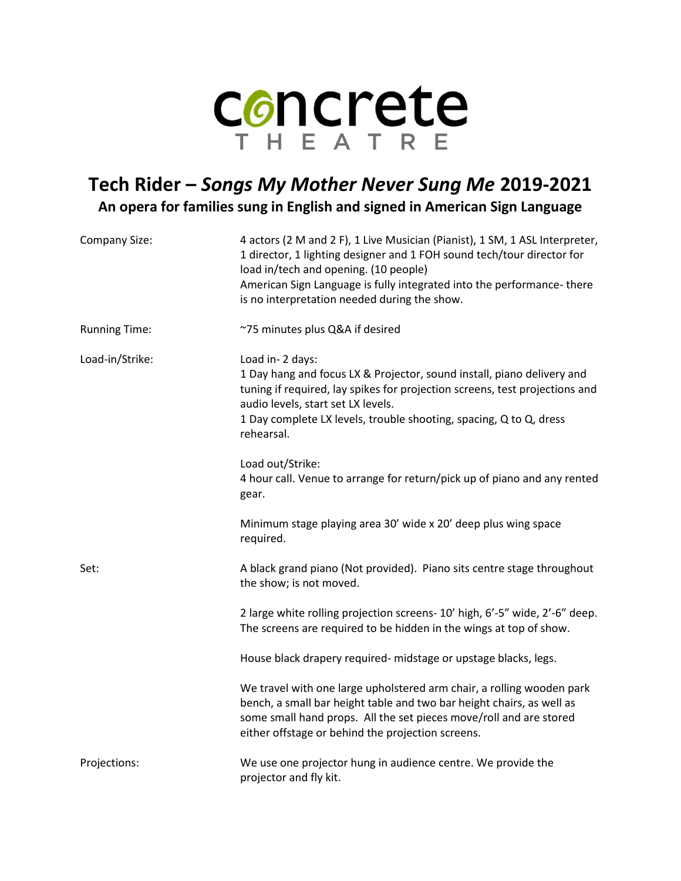

## **Tech Rider –** *Songs My Mother Never Sung Me* **2019-2021 An opera for families sung in English and signed in American Sign Language**

| <b>Company Size:</b> | 4 actors (2 M and 2 F), 1 Live Musician (Pianist), 1 SM, 1 ASL Interpreter,<br>1 director, 1 lighting designer and 1 FOH sound tech/tour director for<br>load in/tech and opening. (10 people)<br>American Sign Language is fully integrated into the performance-there<br>is no interpretation needed during the show. |
|----------------------|-------------------------------------------------------------------------------------------------------------------------------------------------------------------------------------------------------------------------------------------------------------------------------------------------------------------------|
| <b>Running Time:</b> | ~75 minutes plus Q&A if desired                                                                                                                                                                                                                                                                                         |
| Load-in/Strike:      | Load in-2 days:<br>1 Day hang and focus LX & Projector, sound install, piano delivery and<br>tuning if required, lay spikes for projection screens, test projections and<br>audio levels, start set LX levels.<br>1 Day complete LX levels, trouble shooting, spacing, Q to Q, dress<br>rehearsal.                      |
|                      | Load out/Strike:<br>4 hour call. Venue to arrange for return/pick up of piano and any rented<br>gear.                                                                                                                                                                                                                   |
|                      | Minimum stage playing area 30' wide x 20' deep plus wing space<br>required.                                                                                                                                                                                                                                             |
| Set:                 | A black grand piano (Not provided). Piano sits centre stage throughout<br>the show; is not moved.                                                                                                                                                                                                                       |
|                      | 2 large white rolling projection screens- 10' high, 6'-5" wide, 2'-6" deep.<br>The screens are required to be hidden in the wings at top of show.                                                                                                                                                                       |
|                      | House black drapery required- midstage or upstage blacks, legs.                                                                                                                                                                                                                                                         |
|                      | We travel with one large upholstered arm chair, a rolling wooden park<br>bench, a small bar height table and two bar height chairs, as well as<br>some small hand props. All the set pieces move/roll and are stored<br>either offstage or behind the projection screens.                                               |
| Projections:         | We use one projector hung in audience centre. We provide the<br>projector and fly kit.                                                                                                                                                                                                                                  |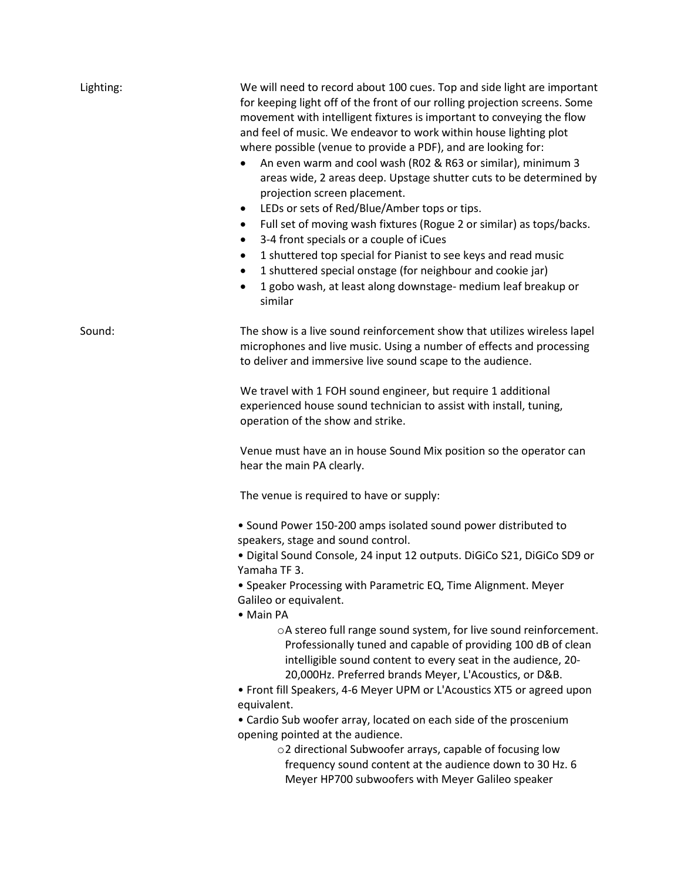| We will need to record about 100 cues. Top and side light are important<br>for keeping light off of the front of our rolling projection screens. Some<br>movement with intelligent fixtures is important to conveying the flow<br>and feel of music. We endeavor to work within house lighting plot<br>where possible (venue to provide a PDF), and are looking for:<br>An even warm and cool wash (R02 & R63 or similar), minimum 3<br>$\bullet$<br>areas wide, 2 areas deep. Upstage shutter cuts to be determined by<br>projection screen placement.<br>LEDs or sets of Red/Blue/Amber tops or tips.<br>$\bullet$<br>Full set of moving wash fixtures (Rogue 2 or similar) as tops/backs.<br>٠<br>3-4 front specials or a couple of iCues<br>$\bullet$<br>1 shuttered top special for Pianist to see keys and read music<br>٠<br>1 shuttered special onstage (for neighbour and cookie jar)<br>٠<br>1 gobo wash, at least along downstage- medium leaf breakup or<br>$\bullet$<br>similar |
|----------------------------------------------------------------------------------------------------------------------------------------------------------------------------------------------------------------------------------------------------------------------------------------------------------------------------------------------------------------------------------------------------------------------------------------------------------------------------------------------------------------------------------------------------------------------------------------------------------------------------------------------------------------------------------------------------------------------------------------------------------------------------------------------------------------------------------------------------------------------------------------------------------------------------------------------------------------------------------------------|
| The show is a live sound reinforcement show that utilizes wireless lapel<br>microphones and live music. Using a number of effects and processing<br>to deliver and immersive live sound scape to the audience.                                                                                                                                                                                                                                                                                                                                                                                                                                                                                                                                                                                                                                                                                                                                                                               |
| We travel with 1 FOH sound engineer, but require 1 additional<br>experienced house sound technician to assist with install, tuning,<br>operation of the show and strike.                                                                                                                                                                                                                                                                                                                                                                                                                                                                                                                                                                                                                                                                                                                                                                                                                     |
| Venue must have an in house Sound Mix position so the operator can<br>hear the main PA clearly.                                                                                                                                                                                                                                                                                                                                                                                                                                                                                                                                                                                                                                                                                                                                                                                                                                                                                              |
| The venue is required to have or supply:                                                                                                                                                                                                                                                                                                                                                                                                                                                                                                                                                                                                                                                                                                                                                                                                                                                                                                                                                     |
| • Sound Power 150-200 amps isolated sound power distributed to<br>speakers, stage and sound control.<br>· Digital Sound Console, 24 input 12 outputs. DiGiCo S21, DiGiCo SD9 or<br>Yamaha TF 3.<br>• Speaker Processing with Parametric EQ, Time Alignment. Meyer<br>Galileo or equivalent.<br>• Main PA                                                                                                                                                                                                                                                                                                                                                                                                                                                                                                                                                                                                                                                                                     |
| oA stereo full range sound system, for live sound reinforcement.<br>Professionally tuned and capable of providing 100 dB of clean<br>intelligible sound content to every seat in the audience, 20-<br>20,000Hz. Preferred brands Meyer, L'Acoustics, or D&B.<br>• Front fill Speakers, 4-6 Meyer UPM or L'Acoustics XT5 or agreed upon<br>equivalent.                                                                                                                                                                                                                                                                                                                                                                                                                                                                                                                                                                                                                                        |
| • Cardio Sub woofer array, located on each side of the proscenium<br>opening pointed at the audience.<br>o2 directional Subwoofer arrays, capable of focusing low<br>frequency sound content at the audience down to 30 Hz. 6<br>Meyer HP700 subwoofers with Meyer Galileo speaker                                                                                                                                                                                                                                                                                                                                                                                                                                                                                                                                                                                                                                                                                                           |
|                                                                                                                                                                                                                                                                                                                                                                                                                                                                                                                                                                                                                                                                                                                                                                                                                                                                                                                                                                                              |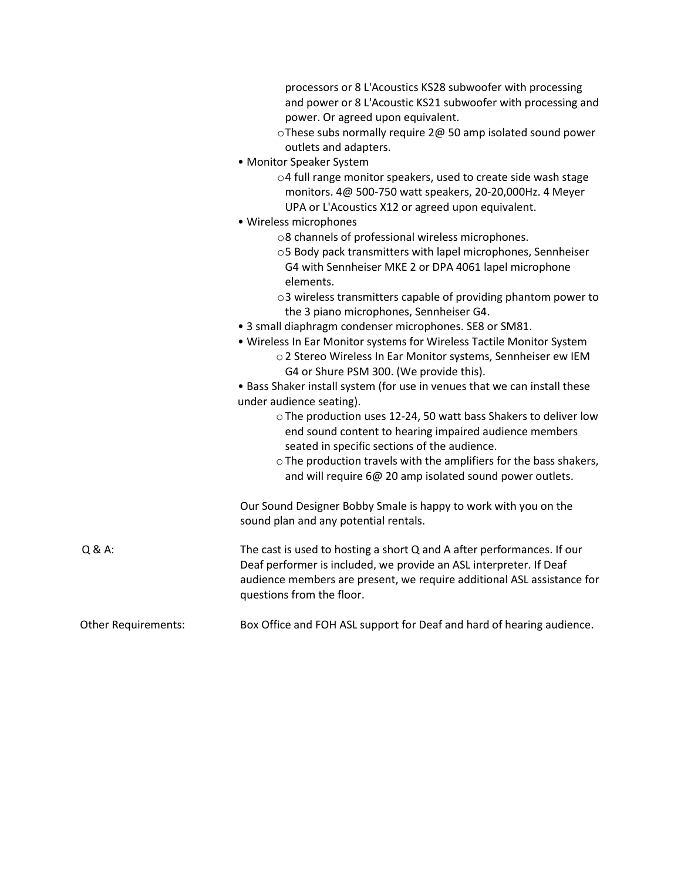|                            | processors or 8 L'Acoustics KS28 subwoofer with processing<br>and power or 8 L'Acoustic KS21 subwoofer with processing and<br>power. Or agreed upon equivalent.<br>oThese subs normally require 2@ 50 amp isolated sound power<br>outlets and adapters.<br>• Monitor Speaker System<br>o4 full range monitor speakers, used to create side wash stage<br>monitors. 4@ 500-750 watt speakers, 20-20,000Hz. 4 Meyer                                                                                                                                                                                                                                                                                                                                                                                                                                                                                                                                                             |
|----------------------------|-------------------------------------------------------------------------------------------------------------------------------------------------------------------------------------------------------------------------------------------------------------------------------------------------------------------------------------------------------------------------------------------------------------------------------------------------------------------------------------------------------------------------------------------------------------------------------------------------------------------------------------------------------------------------------------------------------------------------------------------------------------------------------------------------------------------------------------------------------------------------------------------------------------------------------------------------------------------------------|
|                            | UPA or L'Acoustics X12 or agreed upon equivalent.<br>· Wireless microphones                                                                                                                                                                                                                                                                                                                                                                                                                                                                                                                                                                                                                                                                                                                                                                                                                                                                                                   |
|                            | o8 channels of professional wireless microphones.<br>o5 Body pack transmitters with lapel microphones, Sennheiser<br>G4 with Sennheiser MKE 2 or DPA 4061 lapel microphone<br>elements.<br>o3 wireless transmitters capable of providing phantom power to<br>the 3 piano microphones, Sennheiser G4.<br>• 3 small diaphragm condenser microphones. SE8 or SM81.<br>. Wireless In Ear Monitor systems for Wireless Tactile Monitor System<br>o 2 Stereo Wireless In Ear Monitor systems, Sennheiser ew IEM<br>G4 or Shure PSM 300. (We provide this).<br>. Bass Shaker install system (for use in venues that we can install these<br>under audience seating).<br>o The production uses 12-24, 50 watt bass Shakers to deliver low<br>end sound content to hearing impaired audience members<br>seated in specific sections of the audience.<br>o The production travels with the amplifiers for the bass shakers,<br>and will require 6@ 20 amp isolated sound power outlets. |
|                            | Our Sound Designer Bobby Smale is happy to work with you on the<br>sound plan and any potential rentals.                                                                                                                                                                                                                                                                                                                                                                                                                                                                                                                                                                                                                                                                                                                                                                                                                                                                      |
| Q & A:                     | The cast is used to hosting a short Q and A after performances. If our<br>Deaf performer is included, we provide an ASL interpreter. If Deaf<br>audience members are present, we require additional ASL assistance for<br>questions from the floor.                                                                                                                                                                                                                                                                                                                                                                                                                                                                                                                                                                                                                                                                                                                           |
| <b>Other Requirements:</b> | Box Office and FOH ASL support for Deaf and hard of hearing audience.                                                                                                                                                                                                                                                                                                                                                                                                                                                                                                                                                                                                                                                                                                                                                                                                                                                                                                         |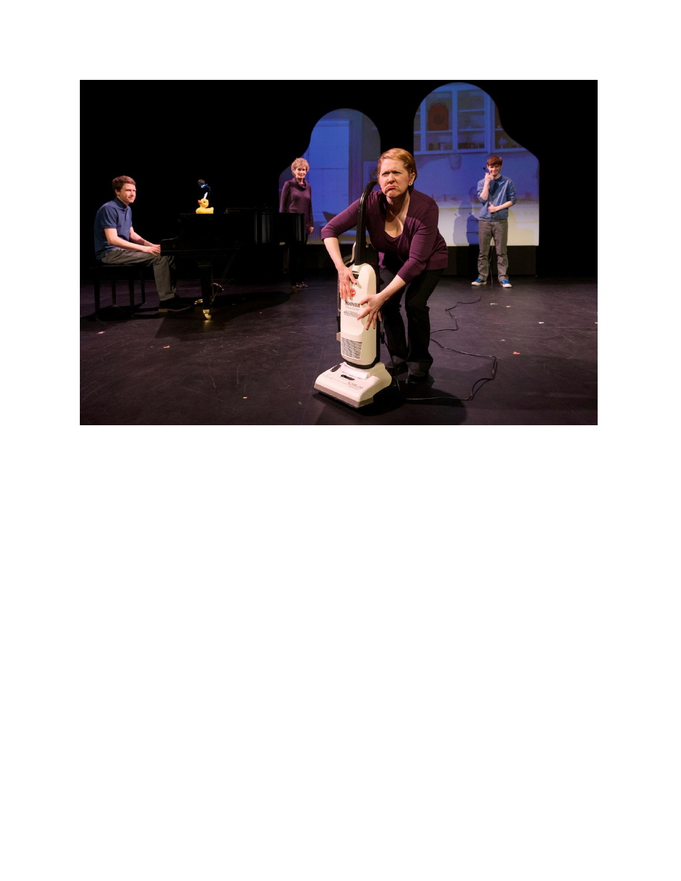